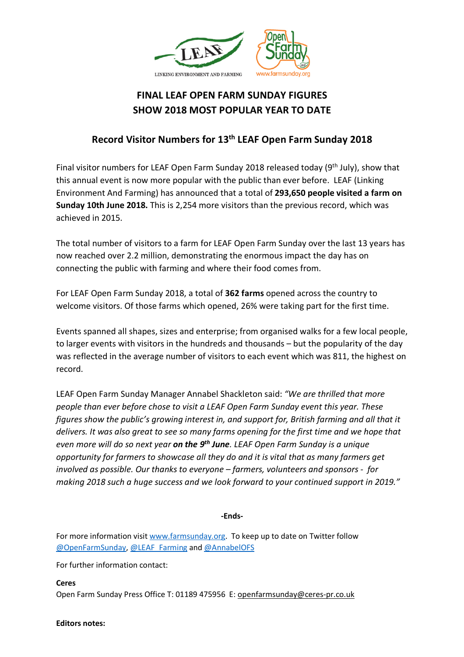

## **FINAL LEAF OPEN FARM SUNDAY FIGURES SHOW 2018 MOST POPULAR YEAR TO DATE**

## **Record Visitor Numbers for 13th LEAF Open Farm Sunday 2018**

Final visitor numbers for LEAF Open Farm Sunday 2018 released today (9<sup>th</sup> July), show that this annual event is now more popular with the public than ever before. LEAF (Linking Environment And Farming) has announced that a total of **293,650 people visited a farm on Sunday 10th June 2018.** This is 2,254 more visitors than the previous record, which was achieved in 2015.

The total number of visitors to a farm for LEAF Open Farm Sunday over the last 13 years has now reached over 2.2 million, demonstrating the enormous impact the day has on connecting the public with farming and where their food comes from.

For LEAF Open Farm Sunday 2018, a total of **362 farms** opened across the country to welcome visitors. Of those farms which opened, 26% were taking part for the first time.

Events spanned all shapes, sizes and enterprise; from organised walks for a few local people, to larger events with visitors in the hundreds and thousands – but the popularity of the day was reflected in the average number of visitors to each event which was 811, the highest on record.

LEAF Open Farm Sunday Manager Annabel Shackleton said: *"We are thrilled that more people than ever before chose to visit a LEAF Open Farm Sunday event this year. These figures show the public's growing interest in, and support for, British farming and all that it delivers. It was also great to see so many farms opening for the first time and we hope that even more will do so next year on the 9th June. LEAF Open Farm Sunday is a unique opportunity for farmers to showcase all they do and it is vital that as many farmers get involved as possible. Our thanks to everyone – farmers, volunteers and sponsors - for making 2018 such a huge success and we look forward to your continued support in 2019."*

## **-Ends-**

For more information visit www.farmsunday.org. To keep up to date on Twitter follow @OpenFarmSunday, @LEAF\_Farming and @AnnabelOFS

For further information contact:

**Ceres** 

Open Farm Sunday Press Office T: 01189 475956 E: openfarmsunday@ceres-pr.co.uk

**Editors notes:**